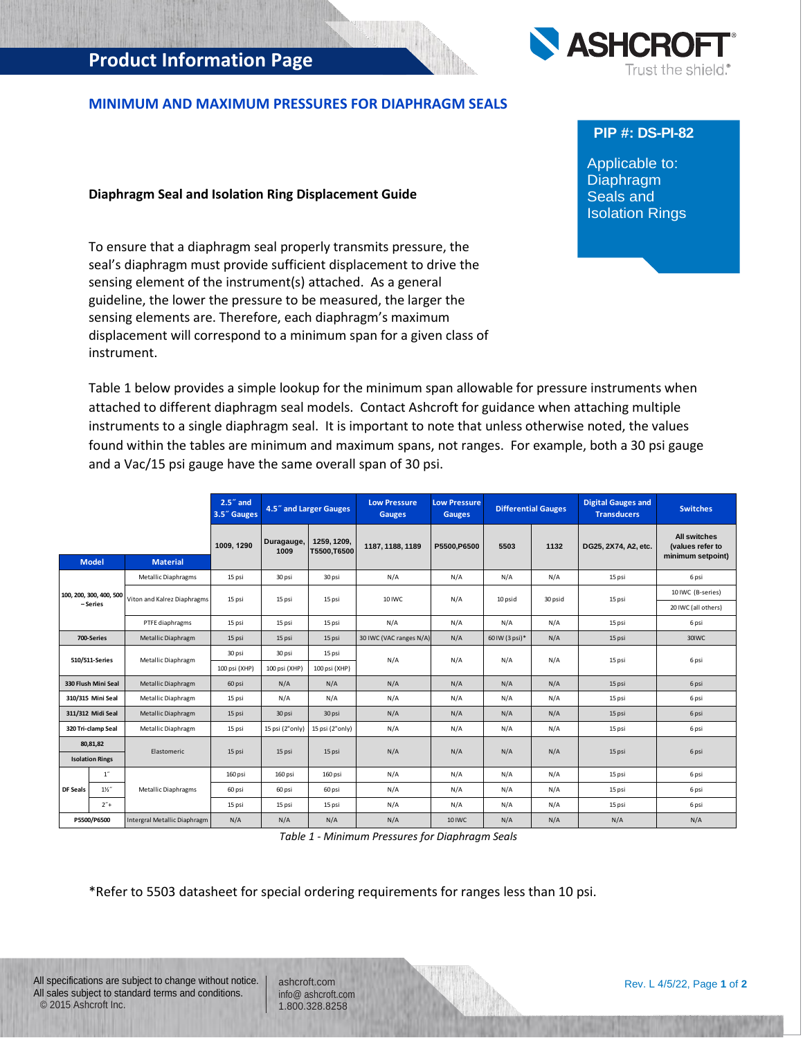# **Product Information Page**

## **MINIMUM AND MAXIMUM PRESSURES FOR DIAPHRAGM SEALS**

#### **Diaphragm Seal and Isolation Ring Displacement Guide**

To ensure that a diaphragm seal properly transmits pressure, the seal's diaphragm must provide sufficient displacement to drive the sensing element of the instrument(s) attached. As a general guideline, the lower the pressure to be measured, the larger the sensing elements are. Therefore, each diaphragm's maximum displacement will correspond to a minimum span for a given class of instrument.

Table 1 below provides a simple lookup for the minimum span allowable for pressure instruments when attached to different diaphragm seal models. Contact Ashcroft for guidance when attaching multiple instruments to a single diaphragm seal. It is important to note that unless otherwise noted, the values found within the tables are minimum and maximum spans, not ranges. For example, both a 30 psi gauge and a Vac/15 psi gauge have the same overall span of 30 psi.

|                                                   |                        |                              | $2.57$ and<br>3.5" Gauges |                    | 4.5" and Larger Gauges     | <b>Low Pressure</b><br><b>Gauges</b> | <b>Low Pressure</b><br><b>Gauges</b> | <b>Differential Gauges</b> |         | <b>Digital Gauges and</b><br><b>Transducers</b> | <b>Switches</b>                                              |
|---------------------------------------------------|------------------------|------------------------------|---------------------------|--------------------|----------------------------|--------------------------------------|--------------------------------------|----------------------------|---------|-------------------------------------------------|--------------------------------------------------------------|
|                                                   |                        |                              | 1009, 1290                | Duragauge,<br>1009 | 1259, 1209,<br>T5500,T6500 | 1187, 1188, 1189                     | P5500.P6500                          | 5503                       | 1132    | DG25, 2X74, A2, etc.                            | <b>All switches</b><br>(values refer to<br>minimum setpoint) |
|                                                   | <b>Model</b>           | <b>Material</b>              |                           |                    |                            |                                      |                                      |                            |         |                                                 |                                                              |
|                                                   |                        | Metallic Diaphragms          | 15 psi                    | 30 psi<br>30 psi   |                            | N/A                                  | N/A                                  | N/A                        | N/A     | 15 psi                                          | 6 psi                                                        |
| 100, 200, 300, 400, 500<br>- Series<br>700-Series |                        | Viton and Kalrez Diaphragms  | 15 psi                    | 15 psi             | 15 psi                     | 10 IWC                               | N/A                                  | 10 psid                    | 30 psid | 15 psi                                          | 10 IWC (B-series)                                            |
|                                                   |                        |                              |                           |                    |                            |                                      |                                      |                            |         |                                                 | 20 IWC (all others)                                          |
|                                                   |                        | PTFE diaphragms              | 15 psi                    | 15 psi             | 15 psi                     | N/A                                  | N/A                                  | N/A                        | N/A     | 15 psi                                          | 6 psi                                                        |
|                                                   |                        | Metallic Diaphragm           | 15 psi                    | 15 psi             | 15 psi                     | 30 IWC (VAC ranges N/A)              | N/A                                  | 60 IW (3 psi)*             | N/A     | 15 psi                                          | 30IWC                                                        |
| 510/511-Series                                    |                        | Metallic Diaphragm           | 30 psi                    | 30 psi             | 15 psi                     | N/A                                  | N/A                                  | N/A                        | N/A     | 15 psi                                          | 6 psi                                                        |
|                                                   |                        |                              | 100 psi (XHP)             | 100 psi (XHP)      | 100 psi (XHP)              |                                      |                                      |                            |         |                                                 |                                                              |
|                                                   | 330 Flush Mini Seal    | Metallic Diaphragm           | 60 psi                    | N/A                | N/A                        | N/A                                  | N/A                                  | N/A                        | N/A     | 15 psi                                          | 6 psi                                                        |
|                                                   | 310/315 Mini Seal      | Metallic Diaphragm           | 15 psi                    | N/A                | N/A                        | N/A                                  | N/A                                  | N/A                        | N/A     | 15 psi                                          | 6 psi                                                        |
| 311/312 Midi Seal                                 |                        | Metallic Diaphragm           | 15 psi                    | 30 psi             | 30 psi                     | N/A                                  | N/A                                  | N/A                        | N/A     | 15 psi                                          | 6 psi                                                        |
| 320 Tri-clamp Seal                                |                        | Metallic Diaphragm           | 15 psi                    | 15 psi (2"only)    | 15 psi (2"only)            | N/A                                  | N/A                                  | N/A                        | N/A     | 15 psi                                          | 6 psi                                                        |
|                                                   | 80,81,82               | Elastomeric                  | 15 psi                    | 15 psi             | 15 psi                     | N/A                                  | N/A                                  | N/A                        | N/A     | 15 psi                                          | 6 psi                                                        |
|                                                   | <b>Isolation Rings</b> |                              |                           |                    |                            |                                      |                                      |                            |         |                                                 |                                                              |
| <b>DF Seals</b>                                   | $1^{\prime\prime}$     |                              | 160 psi                   | 160 psi            | 160 psi                    | N/A                                  | N/A                                  | N/A                        | N/A     | 15 psi                                          | 6 psi                                                        |
|                                                   | $1\frac{1}{2}$         | <b>Metallic Diaphragms</b>   | 60 psi                    | 60 psi             | 60 psi                     | N/A                                  | N/A                                  | N/A                        | N/A     | 15 psi                                          | 6 psi                                                        |
|                                                   | $2"+$                  |                              | 15 psi                    | 15 psi             | 15 psi                     | N/A                                  | N/A                                  | N/A                        | N/A     | 15 psi                                          | 6 psi                                                        |
|                                                   | P5500/P6500            | Intergral Metallic Diaphragm | N/A                       | N/A                | N/A                        | N/A                                  | 10 IWC                               | N/A                        | N/A     | N/A                                             | N/A                                                          |

*Table 1 - Minimum Pressures for Diaphragm Seals*

\*Refer to 5503 datasheet for special ordering requirements for ranges less than 10 psi.

ashcroft.com [info@ ashcroft.com](mailto:info@ashcroft.com) 1.800.328.8258



## **PIP #: DS-PI-82**

Applicable to: Diaphragm Seals and Isolation Rings